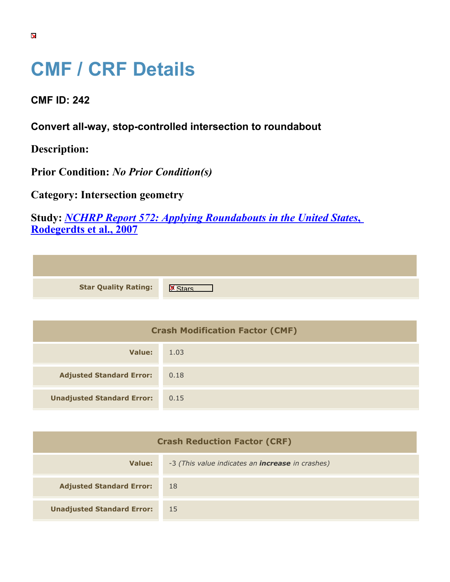## **CMF / CRF Details**

**CMF ID: 242**

**Convert all-way, stop-controlled intersection to roundabout**

**Description:** 

**Prior Condition:** *No Prior Condition(s)*

**Category: Intersection geometry**

**Study:** *[NCHRP Report 572: Applying Roundabouts in the United States](https://cmfclearinghouse.org/study_detail.cfm?stid=53)***[,](https://cmfclearinghouse.org/study_detail.cfm?stid=53) [Rodegerdts et al., 2007](https://cmfclearinghouse.org/study_detail.cfm?stid=53)**

| <b>Star Quality Rating:</b> | 区 |
|-----------------------------|---|

| <b>Crash Modification Factor (CMF)</b> |      |
|----------------------------------------|------|
| Value:                                 | 1.03 |
| <b>Adjusted Standard Error:</b>        | 0.18 |
| <b>Unadjusted Standard Error:</b>      | 0.15 |

| <b>Crash Reduction Factor (CRF)</b> |                                                         |
|-------------------------------------|---------------------------------------------------------|
| <b>Value:</b>                       | -3 (This value indicates an <b>increase</b> in crashes) |
| <b>Adjusted Standard Error:</b>     | -18                                                     |
| <b>Unadjusted Standard Error:</b>   | 15                                                      |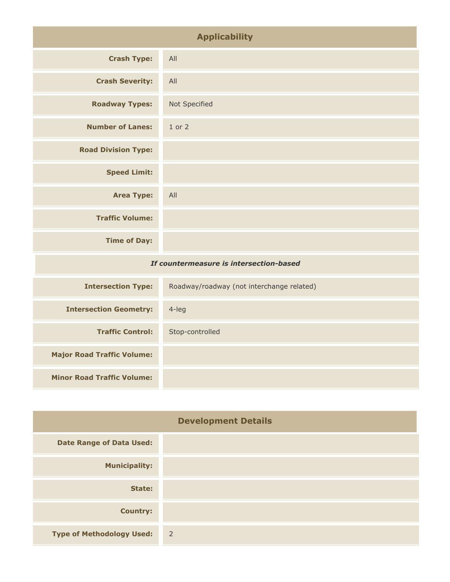| <b>Applicability</b>                    |               |
|-----------------------------------------|---------------|
| <b>Crash Type:</b>                      | All           |
| <b>Crash Severity:</b>                  | All           |
| <b>Roadway Types:</b>                   | Not Specified |
| <b>Number of Lanes:</b>                 | 1 or 2        |
| <b>Road Division Type:</b>              |               |
| <b>Speed Limit:</b>                     |               |
| <b>Area Type:</b>                       | All           |
| <b>Traffic Volume:</b>                  |               |
| <b>Time of Day:</b>                     |               |
| If countermeasure is intersection-based |               |

| <b>Intersection Type:</b>         | Roadway/roadway (not interchange related) |
|-----------------------------------|-------------------------------------------|
| <b>Intersection Geometry:</b>     | $4$ -leg                                  |
| <b>Traffic Control:</b>           | Stop-controlled                           |
| <b>Major Road Traffic Volume:</b> |                                           |
| <b>Minor Road Traffic Volume:</b> |                                           |

| <b>Development Details</b>       |                |
|----------------------------------|----------------|
| <b>Date Range of Data Used:</b>  |                |
| <b>Municipality:</b>             |                |
| State:                           |                |
| <b>Country:</b>                  |                |
| <b>Type of Methodology Used:</b> | $\overline{2}$ |